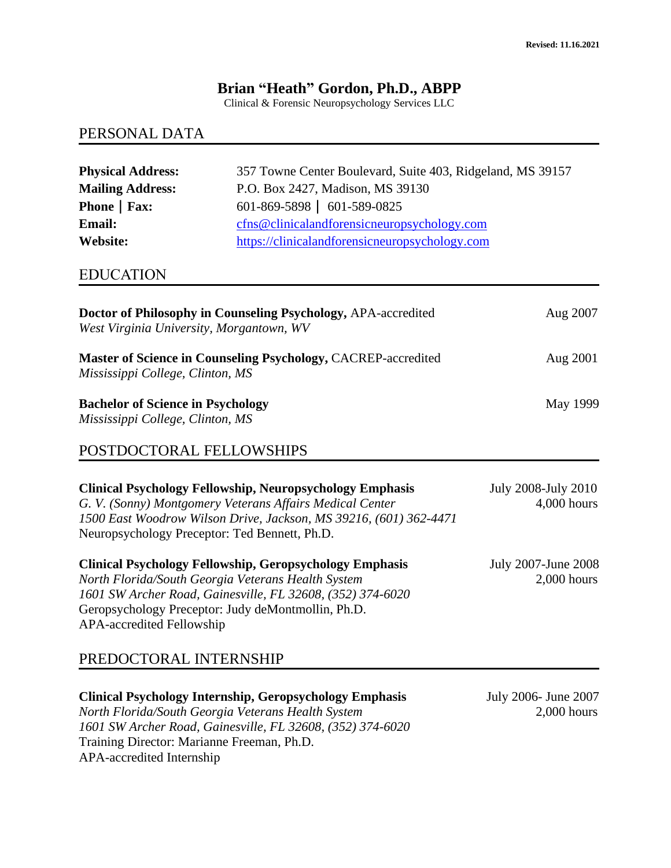#### **Brian "Heath" Gordon, Ph.D., ABPP**

Clinical & Forensic Neuropsychology Services LLC

## PERSONAL DATA

APA-accredited Internship

| <b>Physical Address:</b>                                                     | 357 Towne Center Boulevard, Suite 403, Ridgeland, MS 39157                                                                                                                                                                               |                                       |
|------------------------------------------------------------------------------|------------------------------------------------------------------------------------------------------------------------------------------------------------------------------------------------------------------------------------------|---------------------------------------|
| <b>Mailing Address:</b>                                                      | P.O. Box 2427, Madison, MS 39130<br>601-869-5898 601-589-0825                                                                                                                                                                            |                                       |
| Phone   Fax:                                                                 |                                                                                                                                                                                                                                          |                                       |
| <b>Email:</b>                                                                | cfns@clinicalandforensicneuropsychology.com                                                                                                                                                                                              |                                       |
| <b>Website:</b>                                                              | https://clinicalandforensicneuropsychology.com                                                                                                                                                                                           |                                       |
| <b>EDUCATION</b>                                                             |                                                                                                                                                                                                                                          |                                       |
| West Virginia University, Morgantown, WV                                     | Doctor of Philosophy in Counseling Psychology, APA-accredited                                                                                                                                                                            | Aug 2007                              |
| Mississippi College, Clinton, MS                                             | Master of Science in Counseling Psychology, CACREP-accredited                                                                                                                                                                            | Aug 2001                              |
| <b>Bachelor of Science in Psychology</b><br>Mississippi College, Clinton, MS |                                                                                                                                                                                                                                          | May 1999                              |
| POSTDOCTORAL FELLOWSHIPS                                                     |                                                                                                                                                                                                                                          |                                       |
| Neuropsychology Preceptor: Ted Bennett, Ph.D.                                | <b>Clinical Psychology Fellowship, Neuropsychology Emphasis</b><br>G. V. (Sonny) Montgomery Veterans Affairs Medical Center<br>1500 East Woodrow Wilson Drive, Jackson, MS 39216, (601) 362-4471                                         | July 2008-July 2010<br>$4,000$ hours  |
| APA-accredited Fellowship                                                    | <b>Clinical Psychology Fellowship, Geropsychology Emphasis</b><br>North Florida/South Georgia Veterans Health System<br>1601 SW Archer Road, Gainesville, FL 32608, (352) 374-6020<br>Geropsychology Preceptor: Judy deMontmollin, Ph.D. | July 2007-June 2008<br>$2,000$ hours  |
| PREDOCTORAL INTERNSHIP                                                       |                                                                                                                                                                                                                                          |                                       |
| Training Director: Marianne Freeman, Ph.D.                                   | <b>Clinical Psychology Internship, Geropsychology Emphasis</b><br>North Florida/South Georgia Veterans Health System<br>1601 SW Archer Road, Gainesville, FL 32608, (352) 374-6020                                                       | July 2006- June 2007<br>$2,000$ hours |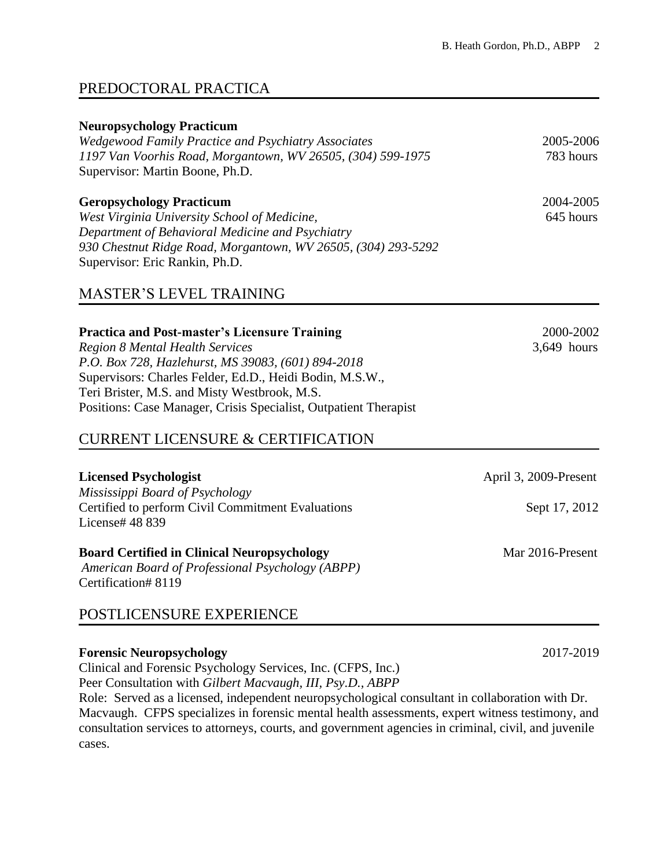# PREDOCTORAL PRACTICA

### **Neuropsychology Practicum**

| Wedgewood Family Practice and Psychiatry Associates           | 2005-2006 |
|---------------------------------------------------------------|-----------|
| 1197 Van Voorhis Road, Morgantown, WV 26505, (304) 599-1975   | 783 hours |
| Supervisor: Martin Boone, Ph.D.                               |           |
| <b>Geropsychology Practicum</b>                               | 2004-2005 |
| West Virginia University School of Medicine,                  | 645 hours |
| Department of Behavioral Medicine and Psychiatry              |           |
| 930 Chestnut Ridge Road, Morgantown, WV 26505, (304) 293-5292 |           |
| Supervisor: Eric Rankin, Ph.D.                                |           |

# MASTER'S LEVEL TRAINING

| <b>Practica and Post-master's Licensure Training</b><br><b>Region 8 Mental Health Services</b><br>P.O. Box 728, Hazlehurst, MS 39083, (601) 894-2018<br>Supervisors: Charles Felder, Ed.D., Heidi Bodin, M.S.W.,<br>Teri Brister, M.S. and Misty Westbrook, M.S.<br>Positions: Case Manager, Crisis Specialist, Outpatient Therapist                                                     | 2000-2002<br>$3,649$ hours             |
|------------------------------------------------------------------------------------------------------------------------------------------------------------------------------------------------------------------------------------------------------------------------------------------------------------------------------------------------------------------------------------------|----------------------------------------|
| <b>CURRENT LICENSURE &amp; CERTIFICATION</b>                                                                                                                                                                                                                                                                                                                                             |                                        |
| <b>Licensed Psychologist</b><br>Mississippi Board of Psychology<br>Certified to perform Civil Commitment Evaluations<br>License# 48 839                                                                                                                                                                                                                                                  | April 3, 2009-Present<br>Sept 17, 2012 |
| <b>Board Certified in Clinical Neuropsychology</b><br>$\mathbf{D}$ $\mathbf{I}$ $\mathbf{C}$ $\mathbf{D}$ $\mathbf{I}$ $\mathbf{D}$ $\mathbf{I}$ $\mathbf{I}$ $\mathbf{I}$ $\mathbf{I}$ $\mathbf{I}$ $\mathbf{I}$ $\mathbf{I}$ $\mathbf{I}$ $\mathbf{I}$ $\mathbf{I}$ $\mathbf{I}$ $\mathbf{I}$ $\mathbf{I}$ $\mathbf{I}$ $\mathbf{I}$ $\mathbf{I}$ $\mathbf{I}$ $\mathbf{I}$ $\mathbf{$ | Mar 2016-Present                       |

*American Board of Professional Psychology (ABPP)* Certification# 8119

# POSTLICENSURE EXPERIENCE

#### **Forensic Neuropsychology** 2017-2019

Clinical and Forensic Psychology Services, Inc. (CFPS, Inc.) Peer Consultation with *Gilbert Macvaugh, III, Psy.D., ABPP*

Role: Served as a licensed, independent neuropsychological consultant in collaboration with Dr. Macvaugh. CFPS specializes in forensic mental health assessments, expert witness testimony, and consultation services to attorneys, courts, and government agencies in criminal, civil, and juvenile cases.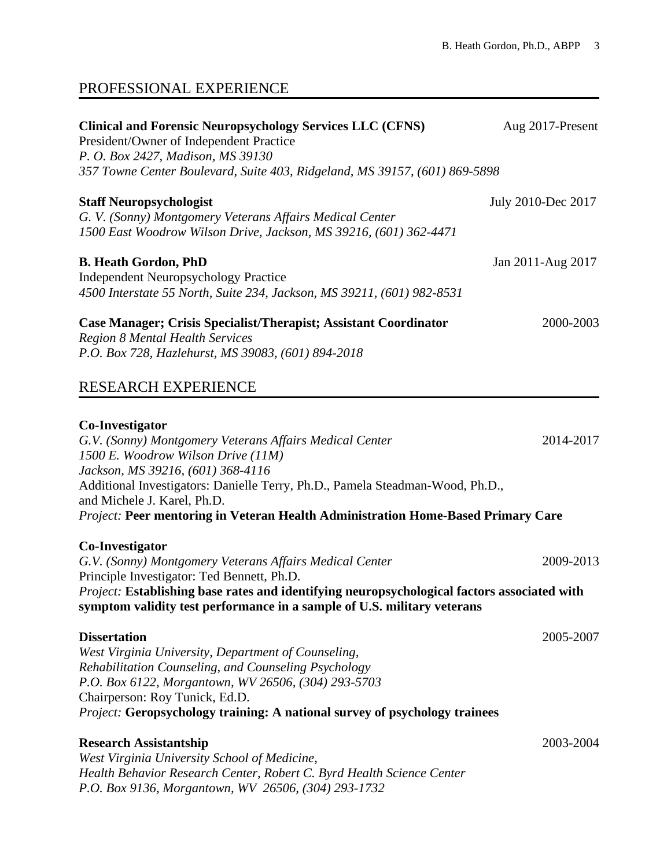# PROFESSIONAL EXPERIENCE

| <b>Clinical and Forensic Neuropsychology Services LLC (CFNS)</b><br>President/Owner of Independent Practice<br>P. O. Box 2427, Madison, MS 39130<br>357 Towne Center Boulevard, Suite 403, Ridgeland, MS 39157, (601) 869-5898                                                                                                                            | Aug 2017-Present   |
|-----------------------------------------------------------------------------------------------------------------------------------------------------------------------------------------------------------------------------------------------------------------------------------------------------------------------------------------------------------|--------------------|
| <b>Staff Neuropsychologist</b><br>G. V. (Sonny) Montgomery Veterans Affairs Medical Center<br>1500 East Woodrow Wilson Drive, Jackson, MS 39216, (601) 362-4471                                                                                                                                                                                           | July 2010-Dec 2017 |
| <b>B. Heath Gordon, PhD</b><br><b>Independent Neuropsychology Practice</b><br>4500 Interstate 55 North, Suite 234, Jackson, MS 39211, (601) 982-8531                                                                                                                                                                                                      | Jan 2011-Aug 2017  |
| <b>Case Manager; Crisis Specialist/Therapist; Assistant Coordinator</b><br><b>Region 8 Mental Health Services</b><br>P.O. Box 728, Hazlehurst, MS 39083, (601) 894-2018                                                                                                                                                                                   | 2000-2003          |
| <b>RESEARCH EXPERIENCE</b>                                                                                                                                                                                                                                                                                                                                |                    |
| Co-Investigator<br>G.V. (Sonny) Montgomery Veterans Affairs Medical Center<br>1500 E. Woodrow Wilson Drive (11M)<br>Jackson, MS 39216, (601) 368-4116<br>Additional Investigators: Danielle Terry, Ph.D., Pamela Steadman-Wood, Ph.D.,<br>and Michele J. Karel, Ph.D.<br>Project: Peer mentoring in Veteran Health Administration Home-Based Primary Care | 2014-2017          |
| Co-Investigator<br>G.V. (Sonny) Montgomery Veterans Affairs Medical Center<br>Principle Investigator: Ted Bennett, Ph.D.<br>Project: Establishing base rates and identifying neuropsychological factors associated with<br>symptom validity test performance in a sample of U.S. military veterans                                                        | 2009-2013          |
| <b>Dissertation</b><br>West Virginia University, Department of Counseling,<br>Rehabilitation Counseling, and Counseling Psychology<br>P.O. Box 6122, Morgantown, WV 26506, (304) 293-5703<br>Chairperson: Roy Tunick, Ed.D.<br>Project: Geropsychology training: A national survey of psychology trainees                                                 | 2005-2007          |
| <b>Research Assistantship</b><br>West Virginia University School of Medicine,<br>Health Behavior Research Center, Robert C. Byrd Health Science Center<br>P.O. Box 9136, Morgantown, WV 26506, (304) 293-1732                                                                                                                                             | 2003-2004          |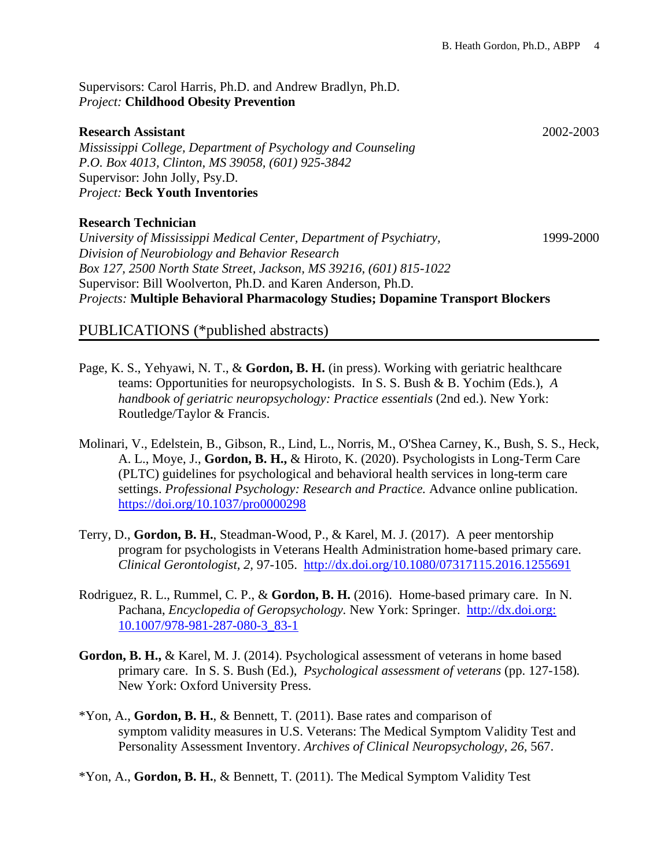| Supervisors: Carol Harris, Ph.D. and Andrew Bradlyn, Ph.D.<br><b>Project: Childhood Obesity Prevention</b> |           |
|------------------------------------------------------------------------------------------------------------|-----------|
| <b>Research Assistant</b>                                                                                  | 2002-2003 |
| Mississippi College, Department of Psychology and Counseling                                               |           |
| P.O. Box 4013, Clinton, MS 39058, (601) 925-3842                                                           |           |
| Supervisor: John Jolly, Psy.D.                                                                             |           |
| <b>Project: Beck Youth Inventories</b>                                                                     |           |
| <b>Research Technician</b>                                                                                 |           |
| University of Mississippi Medical Center, Department of Psychiatry,                                        | 1999-2000 |
| Division of Neurobiology and Behavior Research                                                             |           |
| Box 127, 2500 North State Street, Jackson, MS 39216, (601) 815-1022                                        |           |
| Supervisor: Bill Woolverton, Ph.D. and Karen Anderson, Ph.D.                                               |           |
|                                                                                                            |           |

*Projects:* **Multiple Behavioral Pharmacology Studies; Dopamine Transport Blockers**

# PUBLICATIONS (\*published abstracts)

- Page, K. S., Yehyawi, N. T., & **Gordon, B. H.** (in press). Working with geriatric healthcare teams: Opportunities for neuropsychologists. In S. S. Bush & B. Yochim (Eds.), *A handbook of geriatric neuropsychology: Practice essentials* (2nd ed.). New York: Routledge/Taylor & Francis.
- Molinari, V., Edelstein, B., Gibson, R., Lind, L., Norris, M., O'Shea Carney, K., Bush, S. S., Heck, A. L., Moye, J., **Gordon, B. H.,** & Hiroto, K. (2020). Psychologists in Long-Term Care (PLTC) guidelines for psychological and behavioral health services in long-term care settings. *Professional Psychology: Research and Practice.* Advance online publication. <https://doi.org/10.1037/pro0000298>
- Terry, D., **Gordon, B. H.**, Steadman-Wood, P., & Karel, M. J. (2017). A peer mentorship program for psychologists in Veterans Health Administration home-based primary care. *Clinical Gerontologist, 2,* 97-105. <http://dx.doi.org/10.1080/07317115.2016.1255691>
- Rodriguez, R. L., Rummel, C. P., & **Gordon, B. H.** (2016). Home-based primary care. In N. Pachana, *Encyclopedia of Geropsychology.* New York: Springer. [http://dx.doi.org:](http://dx.doi.org:%2010.1007/978-981-287-080-3_83-1)  [10.1007/978-981-287-080-3\\_83-1](http://dx.doi.org:%2010.1007/978-981-287-080-3_83-1)
- **Gordon, B. H.,** & Karel, M. J. (2014). Psychological assessment of veterans in home based primary care. In S. S. Bush (Ed.), *Psychological assessment of veterans* (pp. 127-158)*.*  New York: Oxford University Press.
- \*Yon, A., **Gordon, B. H.**, & Bennett, T. (2011). Base rates and comparison of symptom validity measures in U.S. Veterans: The Medical Symptom Validity Test and Personality Assessment Inventory. *Archives of Clinical Neuropsychology, 26,* 567.
- \*Yon, A., **Gordon, B. H.**, & Bennett, T. (2011). The Medical Symptom Validity Test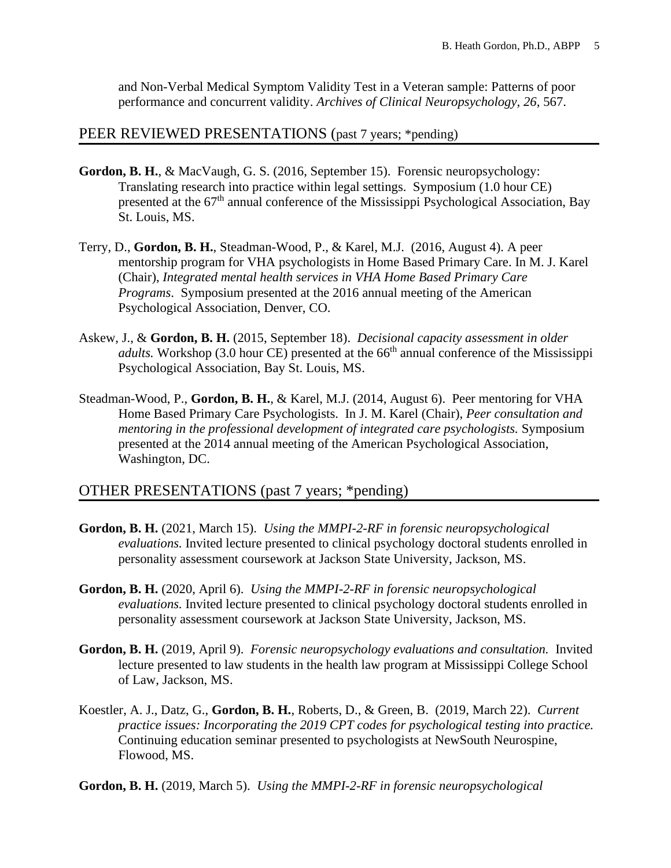and Non-Verbal Medical Symptom Validity Test in a Veteran sample: Patterns of poor performance and concurrent validity. *Archives of Clinical Neuropsychology, 26,* 567.

#### PEER REVIEWED PRESENTATIONS (past 7 years; \*pending)

- **Gordon, B. H.**, & MacVaugh, G. S. (2016, September 15). Forensic neuropsychology: Translating research into practice within legal settings. Symposium (1.0 hour CE) presented at the 67<sup>th</sup> annual conference of the Mississippi Psychological Association, Bay St. Louis, MS.
- Terry, D., **Gordon, B. H.**, Steadman-Wood, P., & Karel, M.J. (2016, August 4). A peer mentorship program for VHA psychologists in Home Based Primary Care. In M. J. Karel (Chair), *Integrated mental health services in VHA Home Based Primary Care Programs*. Symposium presented at the 2016 annual meeting of the American Psychological Association, Denver, CO.
- Askew, J., & **Gordon, B. H.** (2015, September 18). *Decisional capacity assessment in older adults.* Workshop (3.0 hour CE) presented at the 66<sup>th</sup> annual conference of the Mississippi Psychological Association, Bay St. Louis, MS.
- Steadman-Wood, P., **Gordon, B. H.**, & Karel, M.J. (2014, August 6). Peer mentoring for VHA Home Based Primary Care Psychologists. In J. M. Karel (Chair), *Peer consultation and mentoring in the professional development of integrated care psychologists.* Symposium presented at the 2014 annual meeting of the American Psychological Association, Washington, DC.

## OTHER PRESENTATIONS (past 7 years; \*pending)

- **Gordon, B. H.** (2021, March 15). *Using the MMPI-2-RF in forensic neuropsychological evaluations.* Invited lecture presented to clinical psychology doctoral students enrolled in personality assessment coursework at Jackson State University, Jackson, MS.
- **Gordon, B. H.** (2020, April 6). *Using the MMPI-2-RF in forensic neuropsychological evaluations.* Invited lecture presented to clinical psychology doctoral students enrolled in personality assessment coursework at Jackson State University, Jackson, MS.
- **Gordon, B. H.** (2019, April 9). *Forensic neuropsychology evaluations and consultation.* Invited lecture presented to law students in the health law program at Mississippi College School of Law, Jackson, MS.
- Koestler, A. J., Datz, G., **Gordon, B. H.**, Roberts, D., & Green, B. (2019, March 22). *Current practice issues: Incorporating the 2019 CPT codes for psychological testing into practice.*  Continuing education seminar presented to psychologists at NewSouth Neurospine, Flowood, MS.

**Gordon, B. H.** (2019, March 5). *Using the MMPI-2-RF in forensic neuropsychological*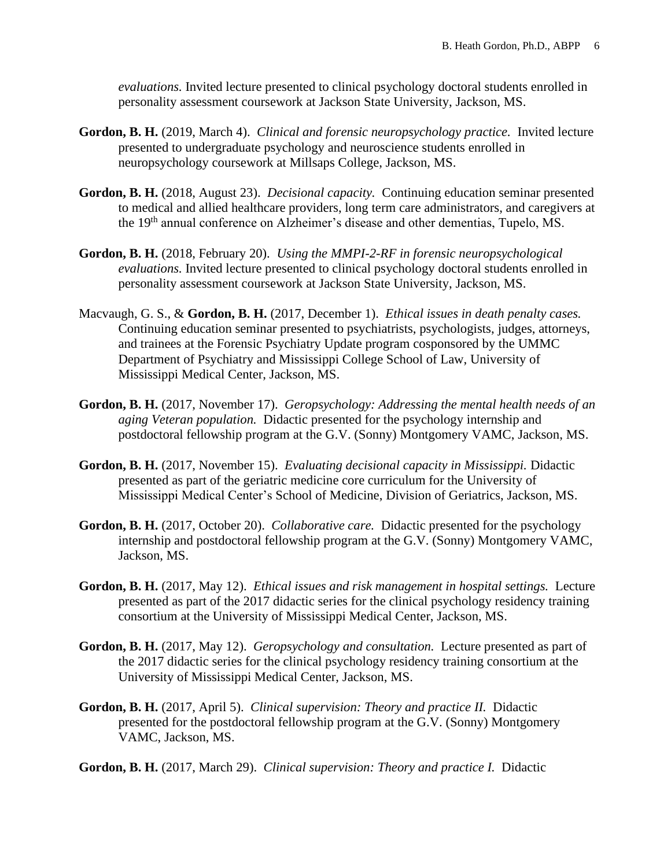*evaluations.* Invited lecture presented to clinical psychology doctoral students enrolled in personality assessment coursework at Jackson State University, Jackson, MS.

- **Gordon, B. H.** (2019, March 4). *Clinical and forensic neuropsychology practice.* Invited lecture presented to undergraduate psychology and neuroscience students enrolled in neuropsychology coursework at Millsaps College, Jackson, MS.
- **Gordon, B. H.** (2018, August 23). *Decisional capacity.* Continuing education seminar presented to medical and allied healthcare providers, long term care administrators, and caregivers at the 19th annual conference on Alzheimer's disease and other dementias, Tupelo, MS.
- **Gordon, B. H.** (2018, February 20). *Using the MMPI-2-RF in forensic neuropsychological evaluations.* Invited lecture presented to clinical psychology doctoral students enrolled in personality assessment coursework at Jackson State University, Jackson, MS.
- Macvaugh, G. S., & **Gordon, B. H.** (2017, December 1). *Ethical issues in death penalty cases.* Continuing education seminar presented to psychiatrists, psychologists, judges, attorneys, and trainees at the Forensic Psychiatry Update program cosponsored by the UMMC Department of Psychiatry and Mississippi College School of Law, University of Mississippi Medical Center, Jackson, MS.
- **Gordon, B. H.** (2017, November 17). *Geropsychology: Addressing the mental health needs of an aging Veteran population.* Didactic presented for the psychology internship and postdoctoral fellowship program at the G.V. (Sonny) Montgomery VAMC, Jackson, MS.
- **Gordon, B. H.** (2017, November 15). *Evaluating decisional capacity in Mississippi.* Didactic presented as part of the geriatric medicine core curriculum for the University of Mississippi Medical Center's School of Medicine, Division of Geriatrics, Jackson, MS.
- **Gordon, B. H.** (2017, October 20). *Collaborative care.*Didactic presented for the psychology internship and postdoctoral fellowship program at the G.V. (Sonny) Montgomery VAMC, Jackson, MS.
- **Gordon, B. H.** (2017, May 12). *Ethical issues and risk management in hospital settings.* Lecture presented as part of the 2017 didactic series for the clinical psychology residency training consortium at the University of Mississippi Medical Center, Jackson, MS.
- **Gordon, B. H.** (2017, May 12). *Geropsychology and consultation.* Lecture presented as part of the 2017 didactic series for the clinical psychology residency training consortium at the University of Mississippi Medical Center, Jackson, MS.
- **Gordon, B. H.** (2017, April 5). *Clinical supervision: Theory and practice II.*Didactic presented for the postdoctoral fellowship program at the G.V. (Sonny) Montgomery VAMC, Jackson, MS.

**Gordon, B. H.** (2017, March 29). *Clinical supervision: Theory and practice I.*Didactic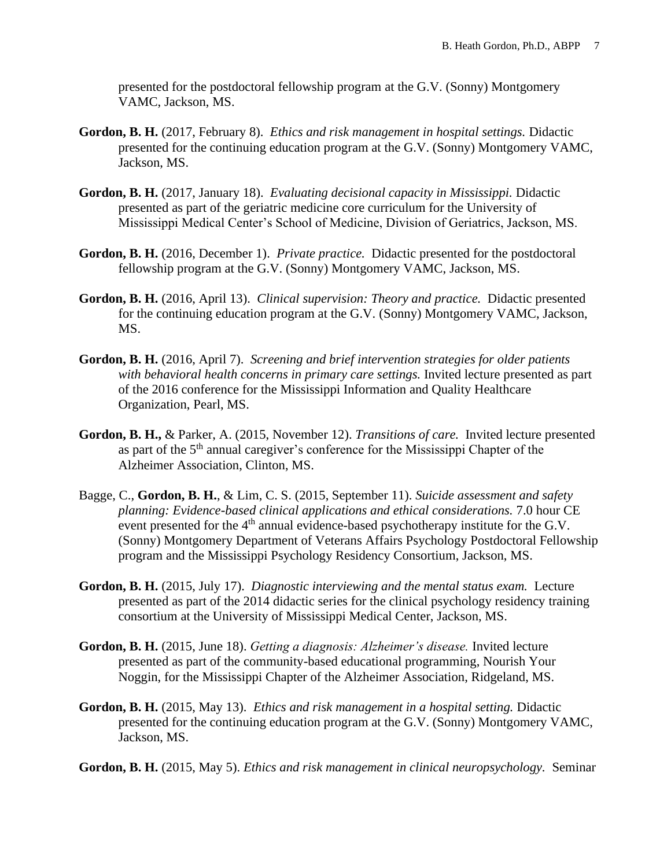presented for the postdoctoral fellowship program at the G.V. (Sonny) Montgomery VAMC, Jackson, MS.

- **Gordon, B. H.** (2017, February 8). *Ethics and risk management in hospital settings.* Didactic presented for the continuing education program at the G.V. (Sonny) Montgomery VAMC, Jackson, MS.
- **Gordon, B. H.** (2017, January 18). *Evaluating decisional capacity in Mississippi.* Didactic presented as part of the geriatric medicine core curriculum for the University of Mississippi Medical Center's School of Medicine, Division of Geriatrics, Jackson, MS.
- **Gordon, B. H.** (2016, December 1). *Private practice.*Didactic presented for the postdoctoral fellowship program at the G.V. (Sonny) Montgomery VAMC, Jackson, MS.
- **Gordon, B. H.** (2016, April 13). *Clinical supervision: Theory and practice.*Didactic presented for the continuing education program at the G.V. (Sonny) Montgomery VAMC, Jackson, MS.
- **Gordon, B. H.** (2016, April 7). *Screening and brief intervention strategies for older patients with behavioral health concerns in primary care settings.* Invited lecture presented as part of the 2016 conference for the Mississippi Information and Quality Healthcare Organization, Pearl, MS.
- **Gordon, B. H.,** & Parker, A. (2015, November 12). *Transitions of care.* Invited lecture presented as part of the 5<sup>th</sup> annual caregiver's conference for the Mississippi Chapter of the Alzheimer Association, Clinton, MS.
- Bagge, C., **Gordon, B. H.**, & Lim, C. S. (2015, September 11). *Suicide assessment and safety planning: Evidence-based clinical applications and ethical considerations.* 7.0 hour CE event presented for the  $4<sup>th</sup>$  annual evidence-based psychotherapy institute for the G.V. (Sonny) Montgomery Department of Veterans Affairs Psychology Postdoctoral Fellowship program and the Mississippi Psychology Residency Consortium, Jackson, MS.
- **Gordon, B. H.** (2015, July 17). *Diagnostic interviewing and the mental status exam.* Lecture presented as part of the 2014 didactic series for the clinical psychology residency training consortium at the University of Mississippi Medical Center, Jackson, MS.
- **Gordon, B. H.** (2015, June 18). *Getting a diagnosis: Alzheimer's disease.* Invited lecture presented as part of the community-based educational programming, Nourish Your Noggin, for the Mississippi Chapter of the Alzheimer Association, Ridgeland, MS.
- **Gordon, B. H.** (2015, May 13). *Ethics and risk management in a hospital setting.* Didactic presented for the continuing education program at the G.V. (Sonny) Montgomery VAMC, Jackson, MS.

**Gordon, B. H.** (2015, May 5). *Ethics and risk management in clinical neuropsychology.* Seminar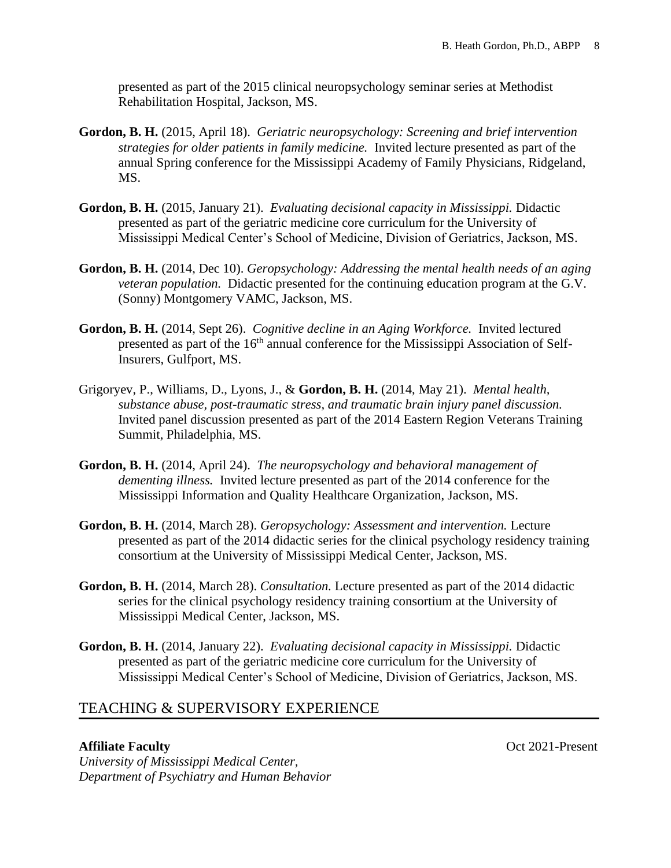presented as part of the 2015 clinical neuropsychology seminar series at Methodist Rehabilitation Hospital, Jackson, MS.

- **Gordon, B. H.** (2015, April 18). *Geriatric neuropsychology: Screening and brief intervention strategies for older patients in family medicine.* Invited lecture presented as part of the annual Spring conference for the Mississippi Academy of Family Physicians, Ridgeland, MS.
- **Gordon, B. H.** (2015, January 21). *Evaluating decisional capacity in Mississippi.* Didactic presented as part of the geriatric medicine core curriculum for the University of Mississippi Medical Center's School of Medicine, Division of Geriatrics, Jackson, MS.
- **Gordon, B. H.** (2014, Dec 10). *Geropsychology: Addressing the mental health needs of an aging veteran population.* Didactic presented for the continuing education program at the G.V. (Sonny) Montgomery VAMC, Jackson, MS.
- **Gordon, B. H.** (2014, Sept 26). *Cognitive decline in an Aging Workforce.* Invited lectured presented as part of the 16<sup>th</sup> annual conference for the Mississippi Association of Self-Insurers, Gulfport, MS.
- Grigoryev, P., Williams, D., Lyons, J., & **Gordon, B. H.** (2014, May 21). *Mental health, substance abuse, post-traumatic stress, and traumatic brain injury panel discussion.*  Invited panel discussion presented as part of the 2014 Eastern Region Veterans Training Summit, Philadelphia, MS.
- **Gordon, B. H.** (2014, April 24). *The neuropsychology and behavioral management of dementing illness.* Invited lecture presented as part of the 2014 conference for the Mississippi Information and Quality Healthcare Organization, Jackson, MS.
- **Gordon, B. H.** (2014, March 28). *Geropsychology: Assessment and intervention.* Lecture presented as part of the 2014 didactic series for the clinical psychology residency training consortium at the University of Mississippi Medical Center, Jackson, MS.
- **Gordon, B. H.** (2014, March 28). *Consultation.* Lecture presented as part of the 2014 didactic series for the clinical psychology residency training consortium at the University of Mississippi Medical Center, Jackson, MS.
- **Gordon, B. H.** (2014, January 22). *Evaluating decisional capacity in Mississippi.* Didactic presented as part of the geriatric medicine core curriculum for the University of Mississippi Medical Center's School of Medicine, Division of Geriatrics, Jackson, MS.

### TEACHING & SUPERVISORY EXPERIENCE

#### **Affiliate Faculty Oct 2021-Present**

*University of Mississippi Medical Center, Department of Psychiatry and Human Behavior*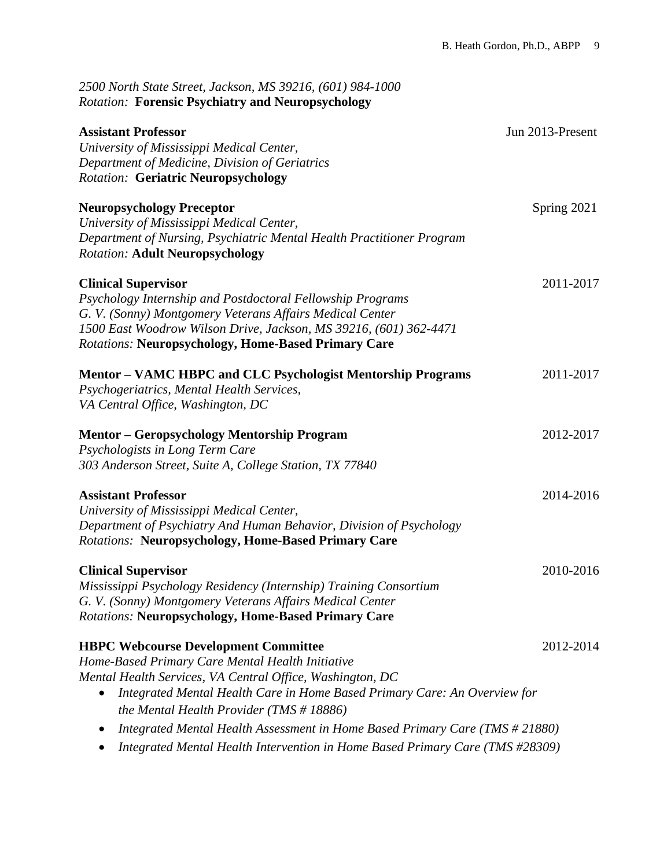| 2500 North State Street, Jackson, MS 39216, (601) 984-1000<br>Rotation: Forensic Psychiatry and Neuropsychology                                                                                                                                                                          |                  |
|------------------------------------------------------------------------------------------------------------------------------------------------------------------------------------------------------------------------------------------------------------------------------------------|------------------|
| <b>Assistant Professor</b><br>University of Mississippi Medical Center,<br>Department of Medicine, Division of Geriatrics<br><b>Rotation: Geriatric Neuropsychology</b>                                                                                                                  | Jun 2013-Present |
| <b>Neuropsychology Preceptor</b><br>University of Mississippi Medical Center,<br>Department of Nursing, Psychiatric Mental Health Practitioner Program<br><b>Rotation: Adult Neuropsychology</b>                                                                                         | Spring 2021      |
| <b>Clinical Supervisor</b><br>Psychology Internship and Postdoctoral Fellowship Programs<br>G. V. (Sonny) Montgomery Veterans Affairs Medical Center<br>1500 East Woodrow Wilson Drive, Jackson, MS 39216, (601) 362-4471<br>Rotations: Neuropsychology, Home-Based Primary Care         | 2011-2017        |
| Mentor - VAMC HBPC and CLC Psychologist Mentorship Programs<br>Psychogeriatrics, Mental Health Services,<br>VA Central Office, Washington, DC                                                                                                                                            | 2011-2017        |
| <b>Mentor – Geropsychology Mentorship Program</b><br>Psychologists in Long Term Care<br>303 Anderson Street, Suite A, College Station, TX 77840                                                                                                                                          | 2012-2017        |
| <b>Assistant Professor</b><br>University of Mississippi Medical Center,<br>Department of Psychiatry And Human Behavior, Division of Psychology<br><b>Rotations: Neuropsychology, Home-Based Primary Care</b>                                                                             | 2014-2016        |
| <b>Clinical Supervisor</b><br>Mississippi Psychology Residency (Internship) Training Consortium<br>G. V. (Sonny) Montgomery Veterans Affairs Medical Center<br>Rotations: Neuropsychology, Home-Based Primary Care                                                                       | 2010-2016        |
| <b>HBPC Webcourse Development Committee</b><br>Home-Based Primary Care Mental Health Initiative<br>Mental Health Services, VA Central Office, Washington, DC<br>Integrated Mental Health Care in Home Based Primary Care: An Overview for<br>the Mental Health Provider (TMS $\#$ 18886) | 2012-2014        |
| Integrated Mental Health Assessment in Home Based Primary Care (TMS # 21880)<br>Integrated Mental Health Intervention in Home Based Primary Care (TMS #28309)                                                                                                                            |                  |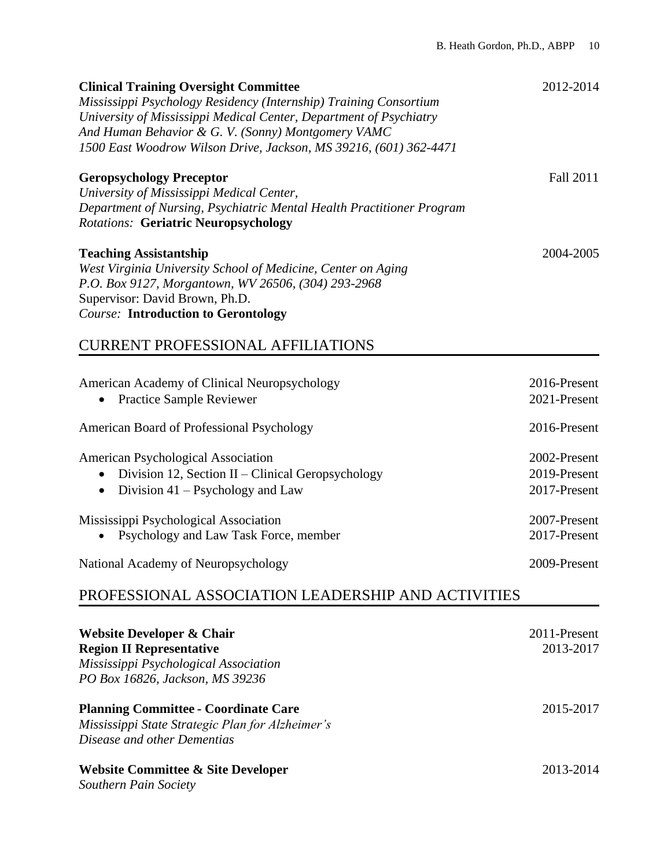| <b>Clinical Training Oversight Committee</b><br>Mississippi Psychology Residency (Internship) Training Consortium<br>University of Mississippi Medical Center, Department of Psychiatry<br>And Human Behavior & G. V. (Sonny) Montgomery VAMC<br>1500 East Woodrow Wilson Drive, Jackson, MS 39216, (601) 362-4471 | 2012-2014                                    |
|--------------------------------------------------------------------------------------------------------------------------------------------------------------------------------------------------------------------------------------------------------------------------------------------------------------------|----------------------------------------------|
| <b>Geropsychology Preceptor</b><br>University of Mississippi Medical Center,<br>Department of Nursing, Psychiatric Mental Health Practitioner Program<br><b>Rotations: Geriatric Neuropsychology</b>                                                                                                               | <b>Fall 2011</b>                             |
| <b>Teaching Assistantship</b><br>West Virginia University School of Medicine, Center on Aging<br>P.O. Box 9127, Morgantown, WV 26506, (304) 293-2968<br>Supervisor: David Brown, Ph.D.<br><b>Course:</b> Introduction to Gerontology                                                                               | 2004-2005                                    |
| <b>CURRENT PROFESSIONAL AFFILIATIONS</b>                                                                                                                                                                                                                                                                           |                                              |
| American Academy of Clinical Neuropsychology<br>Practice Sample Reviewer                                                                                                                                                                                                                                           | 2016-Present<br>2021-Present                 |
| American Board of Professional Psychology                                                                                                                                                                                                                                                                          | 2016-Present                                 |
| American Psychological Association<br>Division 12, Section II – Clinical Geropsychology<br>Division $41$ – Psychology and Law<br>$\bullet$                                                                                                                                                                         | 2002-Present<br>2019-Present<br>2017-Present |
| Mississippi Psychological Association<br>Psychology and Law Task Force, member                                                                                                                                                                                                                                     | 2007-Present<br>2017-Present                 |
| National Academy of Neuropsychology                                                                                                                                                                                                                                                                                | 2009-Present                                 |
| PROFESSIONAL ASSOCIATION LEADERSHIP AND ACTIVITIES                                                                                                                                                                                                                                                                 |                                              |

| <b>Website Developer &amp; Chair</b>             | 2011-Present |
|--------------------------------------------------|--------------|
| <b>Region II Representative</b>                  | 2013-2017    |
| Mississippi Psychological Association            |              |
| PO Box 16826, Jackson, MS 39236                  |              |
| <b>Planning Committee - Coordinate Care</b>      | 2015-2017    |
| Mississippi State Strategic Plan for Alzheimer's |              |
| Disease and other Dementias                      |              |
| <b>Website Committee &amp; Site Developer</b>    | 2013-2014    |
| Southern Pain Society                            |              |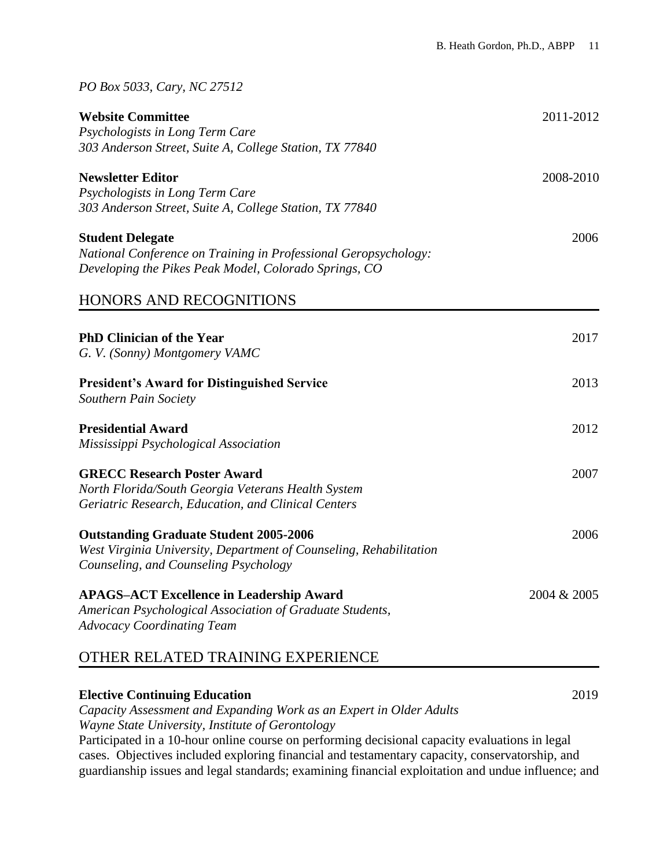| PO Box 5033, Cary, NC 27512                                                                                                                                  |             |
|--------------------------------------------------------------------------------------------------------------------------------------------------------------|-------------|
| <b>Website Committee</b><br>Psychologists in Long Term Care<br>303 Anderson Street, Suite A, College Station, TX 77840                                       | 2011-2012   |
| <b>Newsletter Editor</b><br>Psychologists in Long Term Care<br>303 Anderson Street, Suite A, College Station, TX 77840                                       | 2008-2010   |
| <b>Student Delegate</b><br>National Conference on Training in Professional Geropsychology:<br>Developing the Pikes Peak Model, Colorado Springs, CO          | 2006        |
| <b>HONORS AND RECOGNITIONS</b>                                                                                                                               |             |
| <b>PhD Clinician of the Year</b><br>G. V. (Sonny) Montgomery VAMC                                                                                            | 2017        |
| <b>President's Award for Distinguished Service</b><br>Southern Pain Society                                                                                  | 2013        |
| <b>Presidential Award</b><br>Mississippi Psychological Association                                                                                           | 2012        |
| <b>GRECC Research Poster Award</b><br>North Florida/South Georgia Veterans Health System<br>Geriatric Research, Education, and Clinical Centers              | 2007        |
| <b>Outstanding Graduate Student 2005-2006</b><br>West Virginia University, Department of Counseling, Rehabilitation<br>Counseling, and Counseling Psychology | 2006        |
| <b>APAGS-ACT Excellence in Leadership Award</b><br>American Psychological Association of Graduate Students,<br><b>Advocacy Coordinating Team</b>             | 2004 & 2005 |
| OTHER RELATED TRAINING EXPERIENCE                                                                                                                            |             |

# **Elective Continuing Education** 2019 *Capacity Assessment and Expanding Work as an Expert in Older Adults Wayne State University, Institute of Gerontology*

Participated in a 10-hour online course on performing decisional capacity evaluations in legal cases. Objectives included exploring financial and testamentary capacity, conservatorship, and guardianship issues and legal standards; examining financial exploitation and undue influence; and